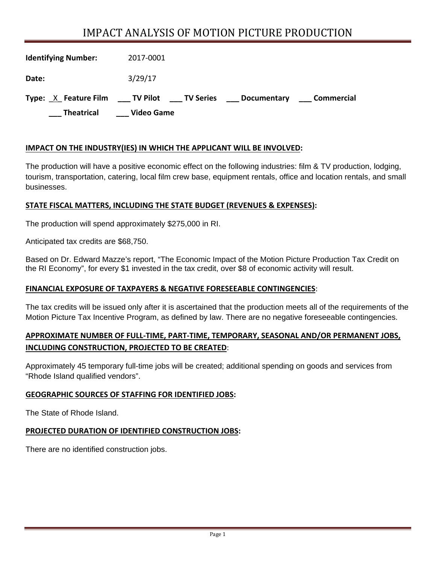# IMPACT ANALYSIS OF MOTION PICTURE PRODUCTION

| <b>Theatrical</b>          | <b>Video Game</b>                |                    |            |
|----------------------------|----------------------------------|--------------------|------------|
| Type: X Feature Film       | ___ TV Pilot<br><b>TV Series</b> | <b>Documentary</b> | Commercial |
| Date:                      | 3/29/17                          |                    |            |
| <b>Identifying Number:</b> | 2017-0001                        |                    |            |

#### **IMPACT ON THE INDUSTRY(IES) IN WHICH THE APPLICANT WILL BE INVOLVED:**

The production will have a positive economic effect on the following industries: film & TV production, lodging, tourism, transportation, catering, local film crew base, equipment rentals, office and location rentals, and small businesses.

#### **STATE FISCAL MATTERS, INCLUDING THE STATE BUDGET (REVENUES & EXPENSES):**

The production will spend approximately \$275,000 in RI.

Anticipated tax credits are \$68,750.

Based on Dr. Edward Mazze's report, "The Economic Impact of the Motion Picture Production Tax Credit on the RI Economy", for every \$1 invested in the tax credit, over \$8 of economic activity will result.

#### **FINANCIAL EXPOSURE OF TAXPAYERS & NEGATIVE FORESEEABLE CONTINGENCIES**:

The tax credits will be issued only after it is ascertained that the production meets all of the requirements of the Motion Picture Tax Incentive Program, as defined by law. There are no negative foreseeable contingencies.

## **APPROXIMATE NUMBER OF FULL‐TIME, PART‐TIME, TEMPORARY, SEASONAL AND/OR PERMANENT JOBS, INCLUDING CONSTRUCTION, PROJECTED TO BE CREATED**:

Approximately 45 temporary full-time jobs will be created; additional spending on goods and services from "Rhode Island qualified vendors".

#### **GEOGRAPHIC SOURCES OF STAFFING FOR IDENTIFIED JOBS:**

The State of Rhode Island.

#### **PROJECTED DURATION OF IDENTIFIED CONSTRUCTION JOBS:**

There are no identified construction jobs.